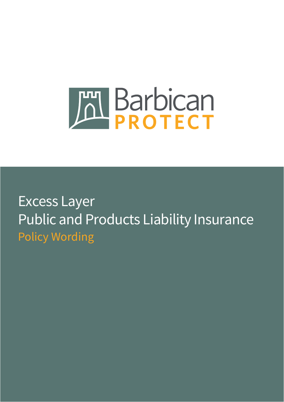

Excess Layer Public and Products Liability Insurance Policy Wording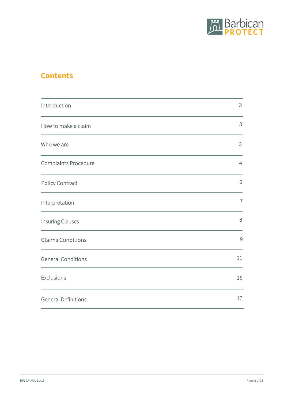

# **Contents**

| Introduction               | $\ensuremath{\mathsf{3}}$ |
|----------------------------|---------------------------|
| How to make a claim        | $\mathsf 3$               |
| Who we are                 | 3                         |
| Complaints Procedure       | $\overline{4}$            |
| Policy Contract            | 6                         |
| Interpretation             | $\overline{7}$            |
| <b>Insuring Clauses</b>    | $\,8\,$                   |
| <b>Claims Conditions</b>   | $\mathsf 9$               |
| <b>General Conditions</b>  | 11                        |
| <b>Exclusions</b>          | 16                        |
| <b>General Definitions</b> | 17                        |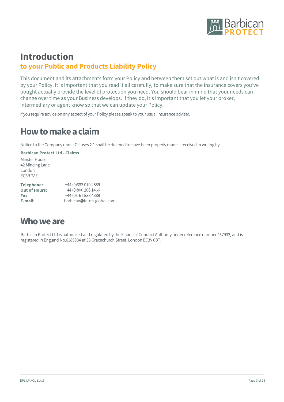

# **Introduction to your Public and Products Liability Policy**

This document and its attachments form your Policy and between them set out what is and isn't covered by your Policy. It is important that you read it all carefully, to make sure that the insurance covers you've bought actually provide the level of protection you need. You should bear in mind that your needs can change over time as your Business develops. If they do, it's important that you let your broker, intermediary or agent know so that we can update your Policy.

If you require advice on any aspect of your Policy please speak to your usual insurance adviser.

# **How to make a claim**

Notice to the Company under Clauses 2.1 shall be deemed to have been properly made if received in writing by:

**Barbican Protect Ltd - Claims**

Minster House 42 Mincing Lane London EC3R 7AE

**Telephone: Fax Out of Hours:**  +44 (0)333 010 4839 +44 (0)800 206 1466 +44 (0)161 838 4389 barbican@triton-global.com **E-mail:**

# **Who we are**

Barbican Protect Ltd is authorised and regulated by the Financial Conduct Authority under reference number 467933, and is registered in England No.6185834 at 33 Gracechurch Street, London EC3V 0BT.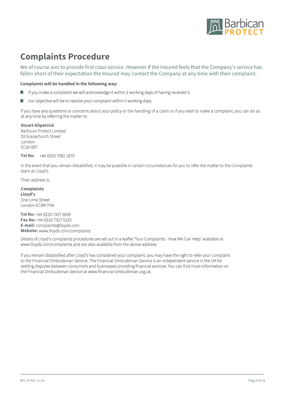

# **Complaints Procedure**

We of course aim to provide first class service. However if the Insured feels that the Company's service has fallen short of their expectation the Insured may contact the Company at any time with their complaint.

**Complaints will be handled in the following way:** 

- if you make a complaint we will acknowledge it within 2 working days of having received it T.
- our objective will be to resolve your complaint within 5 working days. П

If you have any questions or concerns about your policy or the handling of a claim or if you wish to make a complaint, you can do so at any time by referring the matter to:

**Stuart Kilpatrick** Barbican Protect Limited 33 Gracechurch Street London EC3V 0BT

**Tel No:** +44 (0)20 7082 1870

In the event that you remain dissatisfied, it may be possible in certain circumstances for you to refer the matter to the Complaints team at Lloyd's.

Their address is:

**Complaints Lloyd's** One Lime Street London EC3M 7HA

**Tel No:** +44 (0)20 7327 5693 **Fax No:** +44 (0)20 7327 5225 **E-mail:** complaints@lloyds.com **Website:** www.lloyds.com/complaints

Details of Lloyd's complaints procedures are set out in a leaflet 'Your Complaints - How We Can Help' available at www.lloyds.com/complaints and are also available from the above address.

If you remain dissatisfied after Lloyd's has considered your complaint, you may have the right to refer your complaint to the Financial Ombudsman Service. The Financial Ombudsman Service is an independent service in the UK for settling disputes between consumers and businesses providing financial services. You can find more information on the Financial Ombudsman Service at www.financial-ombudsman.org.uk.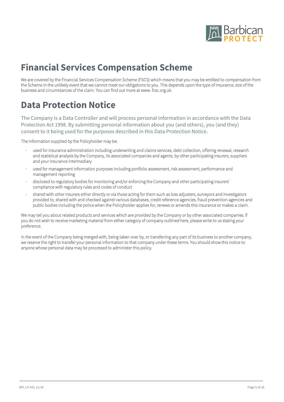

# **Financial Services Compensation Scheme**

We are covered by the Financial Services Compensation Scheme (FSCS) which means that you may be entitled to compensation from the Scheme in the unlikely event that we cannot meet our obligations to you. This depends upon the type of insurance, size of the business and circumstances of the claim. You can find out more at www. fcsc.org.uk.

# **Data Protection Notice**

The Company is a Data Controller and will process personal information in accordance with the Data Protection Act 1998. By submitting personal information about you (and others), you (and they) consent to it being used for the purposes described in this Data Protection Notice.

The information supplied by the Policyholder may be:

- used for insurance administration including underwriting and claims services, debt collection, offering renewal, research and statistical analysis by the Company, its associated companies and agents, by other participating insurers, suppliers and your insurance intermediary -
- used for management information purposes including portfolio assessment, risk assessment, performance and management reporting -
- disclosed to regulatory bodies for monitoring and/or enforcing the Company and other participating insurers' compliance with regulatory rules and codes of conduct -
- shared with other insurers either directly or via those acting for them such as loss adjusters, surveyors and investigators provided to, shared with and checked against various databases, credit reference agencies, fraud prevention agencies and public bodies including the police when the Policyholder applies for, renews or amends this insurance or makes a claim. -

We may tell you about related products and services which are provided by the Company or by other associated companies. If you do not wish to receive marketing material from either category of company outlined here, please write to us stating your preference.

In the event of the Company being merged with, being taken over by, or transferring any part of its business to another company, we reserve the right to transfer your personal information to that company under these terms. You should show this notice to anyone whose personal data may be processed to administer this policy.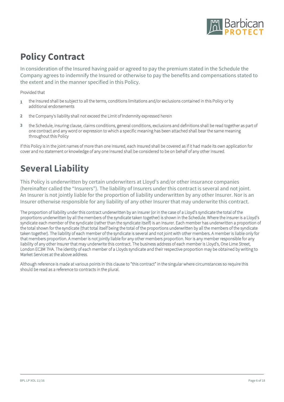

# **Policy Contract**

In consideration of the Insured having paid or agreed to pay the premium stated in the Schedule the Company agrees to indemnify the Insured or otherwise to pay the benefits and compensations stated to the extent and in the manner specified in this Policy.

# Provided that

- the Insured shall be subject to all the terms, conditions limitations and/or exclusions contained in this Policy or by additional endorsements **1**
- the Company's liability shall not exceed the Limit of Indemnity expressed herein **2**
- the Schedule, insuring clause, claims conditions, general conditions, exclusions and definitions shall be read together as part of one contract and any word or expression to which a specific meaning has been attached shall bear the same meaning throughout this Policy **3**

If this Policy is in the joint names of more than one Insured, each Insured shall be covered as if it had made its own application for cover and no statement or knowledge of any one Insured shall be considered to be on behalf of any other Insured.

# **Several Liability**

This Policy is underwritten by certain underwriters at Lloyd's and/or other insurance companies (hereinafter called the "Insurers"). The liability of Insurers under this contract is several and not joint. An Insurer is not jointly liable for the proportion of liability underwritten by any other Insurer. Nor is an Insurer otherwise responsible for any liability of any other Insurer that may underwrite this contract.

The proportion of liability under this contract underwritten by an Insurer (or in the case of a Lloyd's syndicate the total of the proportions underwritten by all the members of the syndicate taken together) is shown in the Schedule. Where the insurer is a Lloyd's syndicate each member of the syndicate (rather than the syndicate itself) is an Insurer. Each member has underwritten a proportion of the total shown for the syndicate (that total itself being the total of the proportions underwritten by all the members of the syndicate taken together). The liability of each member of the syndicate is several and not joint with other members. A member is liable only for that members proportion. A member is not jointly liable for any other members proportion. Nor is any member responsible for any liability of any other Insurer that may underwrite this contract. The business address of each member is Lloyd's, One Lime Street, London EC3M 7HA. The identity of each member of a Lloyds syndicate and their respective proportion may be obtained by writing to Market Services at the above address.

Although reference is made at various points in this clause to "this contract" in the singular where circumstances so require this should be read as a reference to contracts in the plural.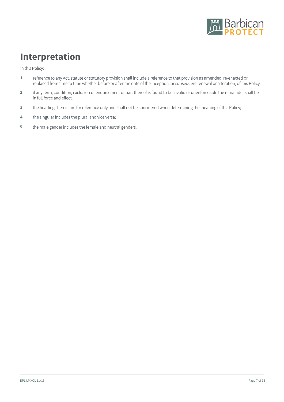

# **Interpretation**

In this Policy:

- **1** reference to any Act, statute or statutory provision shall include a reference to that provision as amended, re-enacted or replaced from time to time whether before or after the date of the inception, or subsequent renewal or alteration, of this Policy;
- **2** if any term, condition, exclusion or endorsement or part thereof is found to be invalid or unenforceable the remainder shall be in full force and effect;
- **3** the headings herein are for reference only and shall not be considered when determining the meaning of this Policy;
- **4** the singular includes the plural and vice versa;
- **5** the male gender includes the female and neutral genders.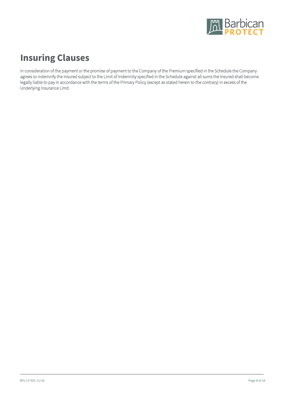

# **Insuring Clauses**

In consideration of the payment or the promise of payment to the Company of the Premium specified in the Schedule the Company agrees to indemnify the Insured subject to the Limit of Indemnity specified in the Schedule against all sums the Insured shall become legally liable to pay in accordance with the terms of the Primary Policy (except as stated herein to the contrary) in excess of the Underlying Insurance Limit.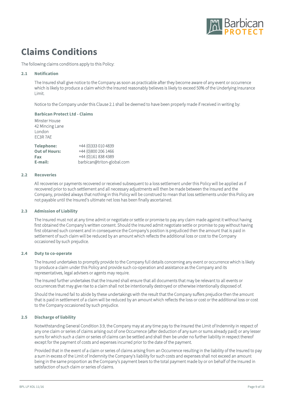

# **Claims Conditions**

The following claims conditions apply to this Policy:

#### **2.1 Notification**

The Insured shall give notice to the Company as soon as practicable after they become aware of any event or occurrence which is likely to produce a claim which the Insured reasonably believes is likely to exceed 50% of the Underlying Insurance Limit.

Notice to the Company under this Clause 2.1 shall be deemed to have been properly made if received in writing by:

**Barbican Protect Ltd - Claims**

Minster House 42 Mincing Lane London EC3R 7AE

| <b>Telephone:</b>    | +44 (0)333 010 4839        |
|----------------------|----------------------------|
| <b>Out of Hours:</b> | +44 (0)800 206 1466        |
| Fax                  | +44 (0) 161 838 4389       |
| E-mail:              | barbican@triton-global.com |

## **2.2 Recoveries**

All recoveries or payments recovered or received subsequent to a loss settlement under this Policy will be applied as if recovered prior to such settlement and all necessary adjustments will then be made between the Insured and the Company, provided always that nothing in this Policy will be construed to mean that loss settlements under this Policy are not payable until the Insured's ultimate net loss has been finally ascertained.

### **2.3 Admission of Liability**

The Insured must not at any time admit or negotiate or settle or promise to pay any claim made against it without having first obtained the Company's written consent. Should the Insured admit negotiate settle or promise to pay without having first obtained such consent and in consequence the Company's position is prejudiced then the amount that is paid in settlement of such claim will be reduced by an amount which reflects the additional loss or cost to the Company occasioned by such prejudice.

#### **2.4 Duty to co-operate**

The Insured undertakes to promptly provide to the Company full details concerning any event or occurrence which is likely to produce a claim under this Policy and provide such co-operation and assistance as the Company and its representatives, legal advisers or agents may require.

The Insured further undertakes that the Insured shall ensure that all documents that may be relevant to all events or occurrences that may give rise to a claim shall not be intentionally destroyed or otherwise intentionally disposed of.

Should the Insured fail to abide by these undertakings with the result that the Company suffers prejudice then the amount that is paid in settlement of a claim will be reduced by an amount which reflects the loss or cost or the additional loss or cost to the Company occasioned by such prejudice.

## **2.5 Discharge of liability**

Notwithstanding General Condition 3.9, the Company may at any time pay to the Insured the Limit of Indemnity in respect of any one claim or series of claims arising out of one Occurrence (after deduction of any sum or sums already paid) or any lesser sums for which such a claim or series of claims can be settled and shall then be under no further liability in respect thereof except for the payment of costs and expenses incurred prior to the date of the payment.

Provided that in the event of a claim or series of claims arising from an Occurrence resulting in the liability of the Insured to pay a sum in excess of the Limit of Indemnity the Company's liability for such costs and expenses shall not exceed an amount being in the same proportion as the Company's payment bears to the total payment made by or on behalf of the Insured in satisfaction of such claim or series of claims.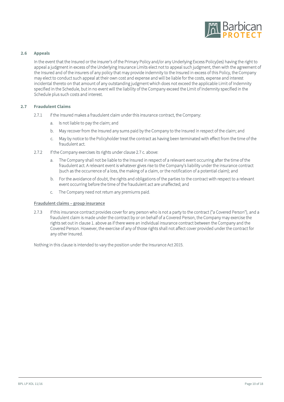

#### **2.6 Appeals**

In the event that the Insured or the insurer's of the Primary Policy and/or any Underlying Excess Policy(ies) having the right to appeal a judgment in excess of the Underlying Insurance Limits elect not to appeal such judgment, then with the agreement of the Insured and of the insurers of any policy that may provide indemnity to the Insured in excess of this Policy, the Company may elect to conduct such appeal at their own cost and expense and will be liable for the costs, expense and interest incidental thereto on that amount of any outstanding judgment which does not exceed the applicable Limit of Indemnity specified in the Schedule, but in no event will the liability of the Company exceed the Limit of Indemnity specified in the Schedule plus such costs and interest.

#### **2.7 Fraudulent Claims**

- 2.7.1 if the Insured makes a fraudulent claim under this insurance contract, the Company:
	- a. Is not liable to pay the claim; and
	- b. May recover from the Insured any sums paid by the Company to the Insured in respect of the claim; and
	- c. May by notice to the Policyholder treat the contract as having been terminated with effect from the time of the fraudulent act.
- 2.7.2 If the Company exercises its rights under clause 2.7 c. above:
	- a. The Company shall not be liable to the Insured in respect of a relevant event occurring after the time of the fraudulent act. A relevant event is whatever gives rise to the Company's liability under the insurance contract (such as the occurrence of a loss, the making of a claim, or the notification of a potential claim); and
	- b. For the avoidance of doubt, the rights and obligations of the parties to the contract with respect to a relevant event occurring before the time of the fraudulent act are unaffected; and
	- c. The Company need not return any premiums paid.

#### **Fraudulent claims – group insurance**

2.7.3 If this insurance contract provides cover for any person who is not a party to the contract ("a Covered Person"), and a fraudulent claim is made under the contract by or on behalf of a Covered Person, the Company may exercise the rights set out in clause 1. above as if there were an individual insurance contract between the Company and the Covered Person. However, the exercise of any of those rights shall not affect cover provided under the contract for any other Insured.

Nothing in this clause is intended to vary the position under the Insurance Act 2015.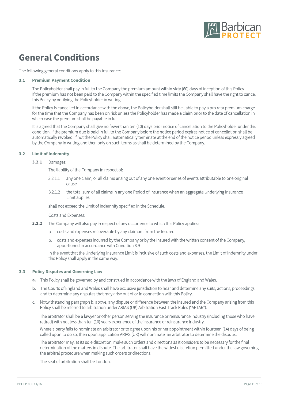

# **General Conditions**

The following general conditions apply to this insurance:

**3.1 Premium Payment Condition**

The Policyholder shall pay in full to the Company the premium amount within sixty (60) days of inception of this Policy If the premium has not been paid to the Company within the specified time limits the Company shall have the right to cancel this Policy by notifying the Policyholder in writing.

If the Policy is cancelled in accordance with the above, the Policyholder shall still be liable to pay a pro rata premium charge for the time that the Company has been on risk unless the Policyholder has made a claim prior to the date of cancellation in which case the premium shall be payable in full.

It is agreed that the Company shall give no fewer than ten (10) days prior notice of cancellation to the Policyholder under this condition. If the premium due is paid in full to the Company before the notice period expires notice of cancellation shall be automatically revoked. If not the Policy shall automatically terminate at the end of the notice period unless expressly agreed by the Company in writing and then only on such terms as shall be determined by the Company.

### **3.2 Limit of Indemnity**

Damages: **3.2.1**

The liability of the Company in respect of:

- 3.2.1.1 any one claim, or all claims arising out of any one event or series of events attributable to one original cause
- 3.2.1.2 the total sum of all claims in any one Period of Insurance when an aggregate Underlying Insurance Limit applies

shall not exceed the Limit of Indemnity specified in the Schedule.

#### Costs and Expenses:

- The Company will also pay in respect of any occurrence to which this Policy applies: **3.2.2**
	- costs and expenses recoverable by any claimant from the Insured a.
	- b. costs and expenses incurred by the Company or by the Insured with the written consent of the Company, apportioned in accordance with Condition 3.9

In the event that the Underlying Insurance Limit is inclusive of such costs and expenses, the Limit of Indemnity under this Policy shall apply in the same way.

#### **3.3 Policy Disputes and Governing Law**

- **a.** This Policy shall be governed by and construed in accordance with the laws of England and Wales.
- b. The Courts of England and Wales shall have exclusive jurisdiction to hear and determine any suits, actions, proceedings and to determine any disputes that may arise out of or in connection with this Policy.
- c. Notwithstanding paragraph b. above, any dispute or difference between the Insured and the Company arising from this Policy shall be referred to arbitration under ARIAS (UK) Arbitration Fast Track Rules ("AFTAR").

The arbitrator shall be a lawyer or other person serving the insurance or reinsurance industry (including those who have retired) with not less than ten (10) years experience of the insurance or reinsurance industry.

Where a party fails to nominate an arbitrator or to agree upon his or her appointment within fourteen (14) days of being called upon to do so, then upon application ARIAS (UK) will nominate an arbitrator to determine the dispute..

The arbitrator may, at its sole discretion, make such orders and directions as it considers to be necessary for the final determination of the matters in dispute. The arbitrator shall have the widest discretion permitted under the law governing the arbitral procedure when making such orders or directions.

The seat of arbitration shall be London.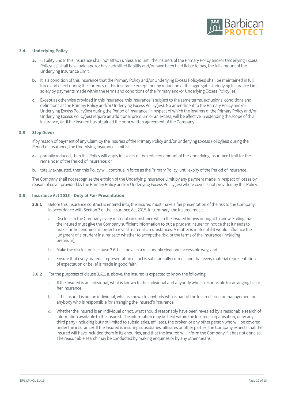

#### **3.4 Underlying Policy**

- **a.** Liability under this insurance shall not attach unless and until the insurers of the Primary Policy and/or Underlying Excess Policy(ies) shall have paid and/or have admitted liability and/or have been held liable to pay, the full amount of the Underlying Insurance Limit.
- **b.** It is a condition of this insurance that the Primary Policy and/or Underlying Excess Policy(ies) shall be maintained in full force and effect during the currency of this insurance except for any reduction of the aggregate Underlying Insurance Limit solely by payments made within the terms and conditions of the Primary and/or Underlying Excess Policy(ies).
- **c.** Except as otherwise provided in this insurance, this insurance is subject to the same terms, exclusions, conditions and definitions as the Primary Policy and/or Underlying Excess Policy(ies). No amendment to the Primary Policy and/or Underlying Excess Policy(ies) during the Period of Insurance, in respect of which the insurers of the Primary Policy and/or Underlying Excess Policy(ies) require an additional premium or an excess, will be effective in extending the scope of this insurance, until the Insured has obtained the prior written agreement of the Company.

### **3.5 Step Down**

If by reason of payment of any Claim by the insurers of the Primary Policy and/or Underlying Excess Policy(ies) during the Period of Insurance, the Underlying Insurance Limit is:

- **a.** partially reduced, then this Policy will apply in excess of the reduced amount of the Underlying Insurance Limit for the remainder of the Period of Insurance; or
- **b.** totally exhausted, then this Policy will continue in force as the Primary Policy, until expiry of the Period of Insurance.

The Company shall not recognise the erosion of the Underlying Insurance Limit by any payment made in respect of losses by reason of cover provided by the Primary Policy and/or Underlying Excess Policy(ies) where cover is not provided by this Policy.

#### **3.6 Insurance Act 2015 – Duty of Fair Presentation**

- Before this insurance contract is entered into, the Insured must make a fair presentation of the risk to the Company, in accordance with Section 3 of the Insurance Act 2015. In summary, the Insured must: **3.6.1**
	- Disclose to the Company every material circumstance which the Insured knows or ought to know. Failing that, the Insured must give the Company sufficient information to put a prudent insurer on notice that it needs to make further enquiries in order to reveal material circumstances. A matter is material if it would influence the judgment of a prudent insurer as to whether to accept the risk, or the terms of the insurance (including premium); a.
	- b. Make the disclosure in clause 3.6.1 a. above in a reasonably clear and accessible way; and
	- Ensure that every material representation of fact is substantially correct, and that every material representation of expectation or belief is made in good faith. c.
- For the purposes of clause 3.6.1. a. above, the Insured is expected to know the following: **3.6.2**
	- If the Insured is an individual, what is known to the individual and anybody who is responsible for arranging his or her insurance. a.
	- If the Insured is not an individual, what is known to anybody who is part of the Insured's senior management or b. anybody who is responsible for arranging the Insured's insurance.
	- Whether the Insured is an individual or not, what should reasonably have been revealed by a reasonable search of c.information available to the Insured. The information may be held within the Insured's organisation, or by any third party (including but not limited to subsidiaries, affiliates, the broker, or any other person who will be covered under the insurance). If the Insured is insuring subsidiaries, affiliates or other parties, the Company expects that the Insured will have included them in its enquiries, and that the Insured will inform the Company if it has not done so. The reasonable search may be conducted by making enquiries or by any other means.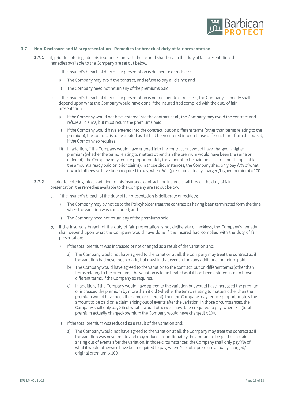

- **3.7 Non-Disclosure and Misrepresentation Remedies for breach of duty of fair presentation**
	- if, prior to entering into this insurance contract, the Insured shall breach the duty of fair presentation, the remedies available to the Company are set out below. **3.7.1**
		- a. If the Insured's breach of duty of fair presentation is deliberate or reckless:
			- i) The Company may avoid the contract, and refuse to pay all claims; and
			- ii) The Company need not return any of the premiums paid.
		- If the Insured's breach of duty of fair presentation is not deliberate or reckless, the Company's remedy shall b. depend upon what the Company would have done if the Insured had complied with the duty of fair presentation:
			- If the Company would not have entered into the contract at all, the Company may avoid the contract and refuse all claims, but must return the premiums paid. i)
			- If the Company would have entered into the contract, but on different terms (other than terms relating to the premium), the contract is to be treated as if it had been entered into on those different terms from the outset, if the Company so requires. ii)
			- In addition, if the Company would have entered into the contract but would have charged a higher premium (whether the terms relating to matters other than the premium would have been the same or different), the Company may reduce proportionately the amount to be paid on a claim (and, if applicable, the amount already paid on prior claims). In those circumstances, the Company shall only pay W% of what it would otherwise have been required to pay, where W = (premium actually charged/higher premium) x 100. iii)
	- If, prior to entering into a variation to this insurance contract, the Insured shall breach the duty of fair presentation, the remedies available to the Company are set out below. **3.7.2**
		- a. If the Insured's breach of the duty of fair presentation is deliberate or reckless:
			- The Company may by notice to the Policyholder treat the contract as having been terminated form the time when the variation was concluded; and i)
			- ii) The Company need not return any of the premiums paid.
		- b. If the Insured's breach of the duty of fair presentation is not deliberate or reckless, the Company's remedy shall depend upon what the Company would have done if the Insured had complied with the duty of fair presentation:
			- i) If the total premium was increased or not changed as a result of the variation and:
				- a) The Company would not have agreed to the variation at all, the Company may treat the contract as if the variation had never been made, but must in that event return any additional premium paid.
				- b) The Company would have agreed to the variation to the contract, but on different terms (other than terms relating to the premium), the variation is to be treated as if it had been entered into on those different terms, if the Company so requires.
				- c) In addition, if the Company would have agreed to the variation but would have increased the premium or increased the premium by more than it did (whether the terms relating to matters other than the premium would have been the same or different), then the Company may reduce proportionately the amount to be paid on a claim arising out of events after the variation. In those circumstances, the Company shall only pay X% of what it would otherwise have been required to pay, where  $X =$  (total premium actually charged/premium the Company would have charged) x 100.
			- ii) If the total premium was reduced as a result of the variation and:
				- a) The Company would not have agreed to the variation at all, the Company may treat the contract as if the variation was never made and may reduce proportionately the amount to be paid on a claim arising out of events after the variation. In those circumstances, the Company shall only pay Y% of what it would otherwise have been required to pay, where Y = (total premium actually charged/ original premium) x 100.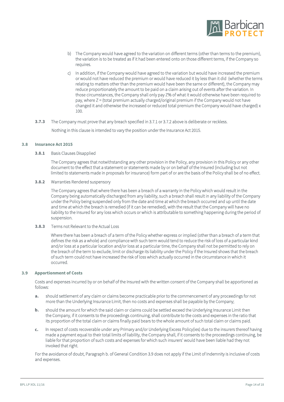

- b) The Company would have agreed to the variation on different terms (other than terms to the premium), the variation is to be treated as if it had been entered onto on those different terms, if the Company so requires.
- c) In addition, if the Company would have agreed to the variation but would have increased the premium or would not have reduced the premium or would have reduced it by less than it did (whether the terms relating to matters other than the premium would have been the same or different), the Company may reduce proportionately the amount to be paid on a claim arising out of events after the variation. In those circumstances, the Company shall only pay Z% of what it would otherwise have been required to pay, where Z = (total premium actually charged/original premium if the Company would not have changed it and otherwise the increased or reduced total premium the Company would have charged) x 100.
- **3.7.3** The Company must prove that any breach specified in 3.7.1 or 3.7.2 above is deliberate or reckless. Nothing in this clause is intended to vary the position under the Insurance Act 2015.

**3.8 Insurance Act 2015**

#### **3.8.1** Basis Clauses Disapplied

The Company agrees that notwithstanding any other provision in the Policy, any provision in this Policy or any other document to the effect that a statement or statements made by or on behalf of the Insured (including but not limited to statements made in proposals for insurance) form part of or are the basis of the Policy shall be of no effect.

### **3.8.2** Warranties Rendered suspensory

The Company agrees that where there has been a breach of a warranty in the Policy which would result in the Company being automatically discharged from any liability, such a breach shall result in any liability of the Company under the Policy being suspended only from the date and time at which the breach occurred and up until the date and time at which the breach is remedied (if it can be remedied), with the result that the Company will have no liability to the Insured for any loss which occurs or which is attributable to something happening during the period of suspension.

#### **3.8.3** Terms not Relevant to the Actual Loss

Where there has been a breach of a term of the Policy whether express or implied (other than a breach of a term that defines the risk as a whole) and compliance with such term would tend to reduce the risk of loss of a particular kind and/or loss at a particular location and/or loss at a particular time, the Company shall not be permitted to rely on the breach of the term to exclude, limit or discharge its liability under the Policy if the Insured shows that the breach of such term could not have increased the risk of loss which actually occurred in the circumstance in which it occurred.

### **3.9 Apportionment of Costs**

Costs and expenses incurred by or on behalf of the Insured with the written consent of the Company shall be apportioned as follows:

- **a.** should settlement of any claim or claims become practicable prior to the commencement of any proceedings for not more than the Underlying Insurance Limit, then no costs and expenses shall be payable by the Company;
- **b.** should the amount for which the said claim or claims could be settled exceed the Underlying Insurance Limit then the Company, if it consents to the proceedings continuing, shall contribute to the costs and expenses in the ratio that its proportion of the total claim or claims finally paid bears to the whole amount of such total claim or claims paid.
- **c.** In respect of costs recoverable under any Primary and/or Underlying Excess Policy(ies) due to the insurers thereof having made a payment equal to their total limits of liability, the Company shall, if it consents to the proceedings continuing, be liable for that proportion of such costs and expenses for which such insurers' would have been liable had they not invoked that right.

For the avoidance of doubt, Paragraph b. of General Condition 3.9 does not apply if the Limit of Indemnity is inclusive of costs and expenses.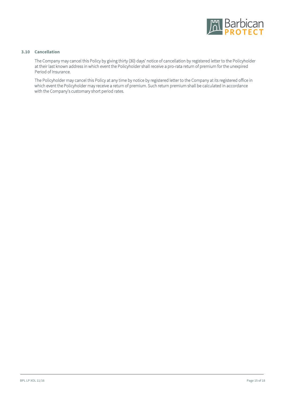

### **3.10 Cancellation**

The Company may cancel this Policy by giving thirty (30) days' notice of cancellation by registered letter to the Policyholder at their last known address in which event the Policyholder shall receive a pro-rata return of premium for the unexpired Period of Insurance.

The Policyholder may cancel this Policy at any time by notice by registered letter to the Company at its registered office in which event the Policyholder may receive a return of premium. Such return premium shall be calculated in accordance with the Company's customary short period rates.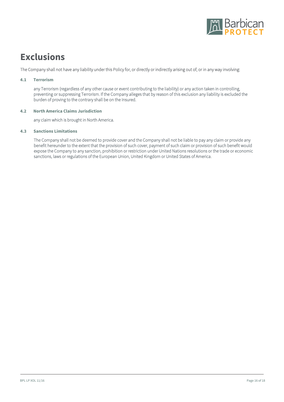

# **Exclusions**

The Company shall not have any liability under this Policy for, or directly or indirectly arising out of, or in any way involving:

## **4.1 Terrorism**

any Terrorism (regardless of any other cause or event contributing to the liability) or any action taken in controlling, preventing or suppressing Terrorism. If the Company alleges that by reason of this exclusion any liability is excluded the burden of proving to the contrary shall be on the Insured.

**4.2 North America Claims Jurisdiction**

any claim which is brought in North America.

**4.3 Sanctions Limitations**

The Company shall not be deemed to provide cover and the Company shall not be liable to pay any claim or provide any benefit hereunder to the extent that the provision of such cover, payment of such claim or provision of such benefit would expose the Company to any sanction, prohibition or restriction under United Nations resolutions or the trade or economic sanctions, laws or regulations of the European Union, United Kingdom or United States of America.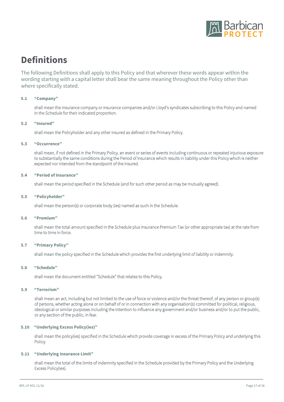

# **Definitions**

The following Definitions shall apply to this Policy and that wherever these words appear within the wording starting with a capital letter shall bear the same meaning throughout the Policy other than where specifically stated.

### **5.1 "Company"**

shall mean the insurance company or insurance companies and/or Lloyd's syndicates subscribing to this Policy and named in the Schedule for their indicated proportion.

### **5.2 "Insured"**

shall mean the Policyholder and any other insured as defined in the Primary Policy.

**5.3 "Occurrence"**

shall mean, if not defined in the Primary Policy, an event or series of events including continuous or repeated injurious exposure to substantially the same conditions during the Period of Insurance which results in liability under this Policy which is neither expected nor intended from the standpoint of the Insured.

# **5.4 "Period of Insurance"**

shall mean the period specified in the Schedule (and for such other period as may be mutually agreed).

### **5.5 "Policyholder"**

shall mean the person(s) or corporate body (ies) named as such in the Schedule.

**5.6 "Premium"**

shall mean the total amount specified in the Schedule plus Insurance Premium Tax (or other appropriate tax) at the rate from time to time in force.

**5.7 "Primary Policy"**

shall mean the policy specified in the Schedule which provides the first underlying limit of liability or indemnity.

**5.8 "Schedule"**

shall mean the document entitled "Schedule" that relates to this Policy.

**5.9 "Terrorism"**

shall mean an act, including but not limited to the use of force or violence and/or the threat thereof, of any person or group(s) of persons, whether acting alone or on behalf of or in connection with any organisation(s) committed for political, religious, ideological or similar purposes including the intention to influence any government and/or business and/or to put the public, or any section of the public, in fear.

### **5.10 "Underlying Excess Policy(ies)"**

shall mean the policy(ies) specified in the Schedule which provide coverage in excess of the Primary Policy and underlying this Policy.

### **5.11 "Underlying Insurance Limit"**

shall mean the total of the limits of indemnity specified in the Schedule provided by the Primary Policy and the Underlying Excess Policy(ies).